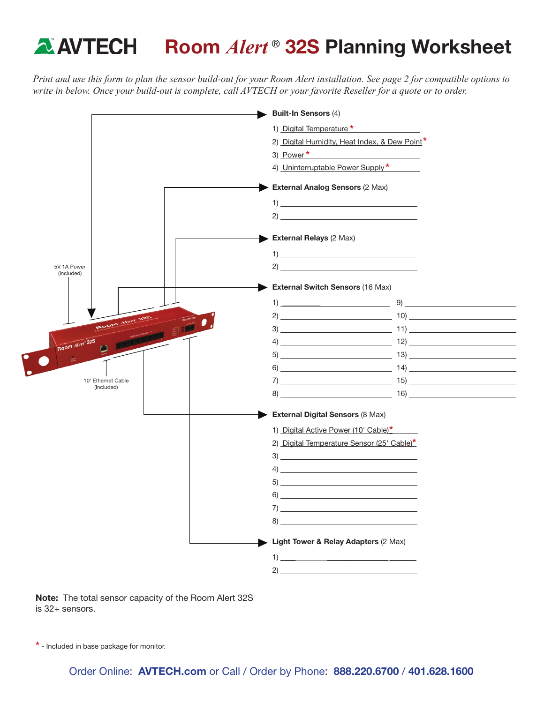# **A AVTECH** Room *Alert*<sup>®</sup> 32S Planning Worksheet

*Print and use this form to plan the sensor build-out for your Room Alert installation. See page 2 for compatible options to write in below. Once your build-out is complete, call AVTECH or your favorite Reseller for a quote or to order.*



Note: The total sensor capacity of the Room Alert 32S is 32+ sensors.

\* - Included in base package for monitor.